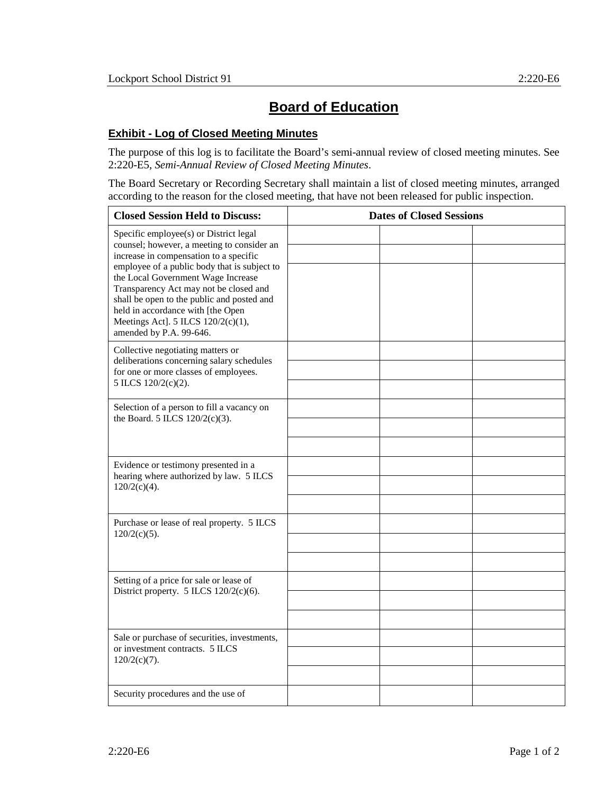## **Board of Education**

## **Exhibit - Log of Closed Meeting Minutes**

The purpose of this log is to facilitate the Board's semi-annual review of closed meeting minutes. See 2:220-E5, *Semi-Annual Review of Closed Meeting Minutes*.

The Board Secretary or Recording Secretary shall maintain a list of closed meeting minutes, arranged according to the reason for the closed meeting, that have not been released for public inspection.

| <b>Closed Session Held to Discuss:</b>                                                                                                                                                                                                                                                                                                                                                                             | <b>Dates of Closed Sessions</b> |  |
|--------------------------------------------------------------------------------------------------------------------------------------------------------------------------------------------------------------------------------------------------------------------------------------------------------------------------------------------------------------------------------------------------------------------|---------------------------------|--|
| Specific employee(s) or District legal<br>counsel; however, a meeting to consider an<br>increase in compensation to a specific<br>employee of a public body that is subject to<br>the Local Government Wage Increase<br>Transparency Act may not be closed and<br>shall be open to the public and posted and<br>held in accordance with [the Open<br>Meetings Act]. 5 ILCS 120/2(c)(1),<br>amended by P.A. 99-646. |                                 |  |
| Collective negotiating matters or<br>deliberations concerning salary schedules<br>for one or more classes of employees.<br>5 ILCS 120/2(c)(2).                                                                                                                                                                                                                                                                     |                                 |  |
| Selection of a person to fill a vacancy on<br>the Board. 5 ILCS $120/2(c)(3)$ .                                                                                                                                                                                                                                                                                                                                    |                                 |  |
| Evidence or testimony presented in a<br>hearing where authorized by law. 5 ILCS<br>$120/2(c)(4)$ .                                                                                                                                                                                                                                                                                                                 |                                 |  |
| Purchase or lease of real property. 5 ILCS<br>$120/2(c)(5)$ .                                                                                                                                                                                                                                                                                                                                                      |                                 |  |
| Setting of a price for sale or lease of<br>District property. $5$ ILCS $120/2(c)(6)$ .                                                                                                                                                                                                                                                                                                                             |                                 |  |
| Sale or purchase of securities, investments,<br>or investment contracts. 5 ILCS<br>$120/2(c)(7)$ .                                                                                                                                                                                                                                                                                                                 |                                 |  |
| Security procedures and the use of                                                                                                                                                                                                                                                                                                                                                                                 |                                 |  |